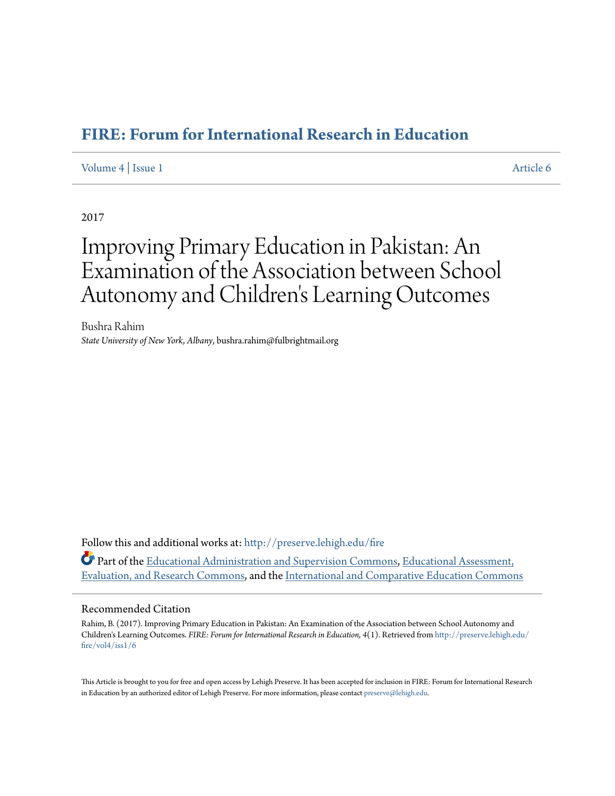# **[FIRE: Forum for International Research in Education](http://preserve.lehigh.edu/fire?utm_source=preserve.lehigh.edu%2Ffire%2Fvol4%2Fiss1%2F6&utm_medium=PDF&utm_campaign=PDFCoverPages)**

# [Volume 4](http://preserve.lehigh.edu/fire/vol4?utm_source=preserve.lehigh.edu%2Ffire%2Fvol4%2Fiss1%2F6&utm_medium=PDF&utm_campaign=PDFCoverPages) | [Issue 1](http://preserve.lehigh.edu/fire/vol4/iss1?utm_source=preserve.lehigh.edu%2Ffire%2Fvol4%2Fiss1%2F6&utm_medium=PDF&utm_campaign=PDFCoverPages) [Article 6](http://preserve.lehigh.edu/fire/vol4/iss1/6?utm_source=preserve.lehigh.edu%2Ffire%2Fvol4%2Fiss1%2F6&utm_medium=PDF&utm_campaign=PDFCoverPages)

2017

# Improving Primary Education in Pakistan: An Examination of the Association between School Autonomy and Children 's Learning Outcomes

Bushra Rahim *State University of New York, Albany*, bushra.rahim@fulbrightmail.org

Follow this and additional works at: [http://preserve.lehigh.edu/fire](http://preserve.lehigh.edu/fire?utm_source=preserve.lehigh.edu%2Ffire%2Fvol4%2Fiss1%2F6&utm_medium=PDF&utm_campaign=PDFCoverPages) Part of the [Educational Administration and Supervision Commons,](http://network.bepress.com/hgg/discipline/787?utm_source=preserve.lehigh.edu%2Ffire%2Fvol4%2Fiss1%2F6&utm_medium=PDF&utm_campaign=PDFCoverPages) [Educational Assessment,](http://network.bepress.com/hgg/discipline/796?utm_source=preserve.lehigh.edu%2Ffire%2Fvol4%2Fiss1%2F6&utm_medium=PDF&utm_campaign=PDFCoverPages) [Evaluation, and Research Commons,](http://network.bepress.com/hgg/discipline/796?utm_source=preserve.lehigh.edu%2Ffire%2Fvol4%2Fiss1%2F6&utm_medium=PDF&utm_campaign=PDFCoverPages) and the [International and Comparative Education Commons](http://network.bepress.com/hgg/discipline/797?utm_source=preserve.lehigh.edu%2Ffire%2Fvol4%2Fiss1%2F6&utm_medium=PDF&utm_campaign=PDFCoverPages)

#### Recommended Citation

Rahim, B. (2017). Improving Primary Education in Pakistan: An Examination of the Association between School Autonomy and Children's Learning Outcomes. *FIRE: Forum for International Research in Education, 4*(1). Retrieved from [http://preserve.lehigh.edu/](http://preserve.lehigh.edu/fire/vol4/iss1/6?utm_source=preserve.lehigh.edu%2Ffire%2Fvol4%2Fiss1%2F6&utm_medium=PDF&utm_campaign=PDFCoverPages) [fire/vol4/iss1/6](http://preserve.lehigh.edu/fire/vol4/iss1/6?utm_source=preserve.lehigh.edu%2Ffire%2Fvol4%2Fiss1%2F6&utm_medium=PDF&utm_campaign=PDFCoverPages)

This Article is brought to you for free and open access by Lehigh Preserve. It has been accepted for inclusion in FIRE: Forum for International Research in Education by an authorized editor of Lehigh Preserve. For more information, please contact [preserve@lehigh.edu.](mailto:preserve@lehigh.edu)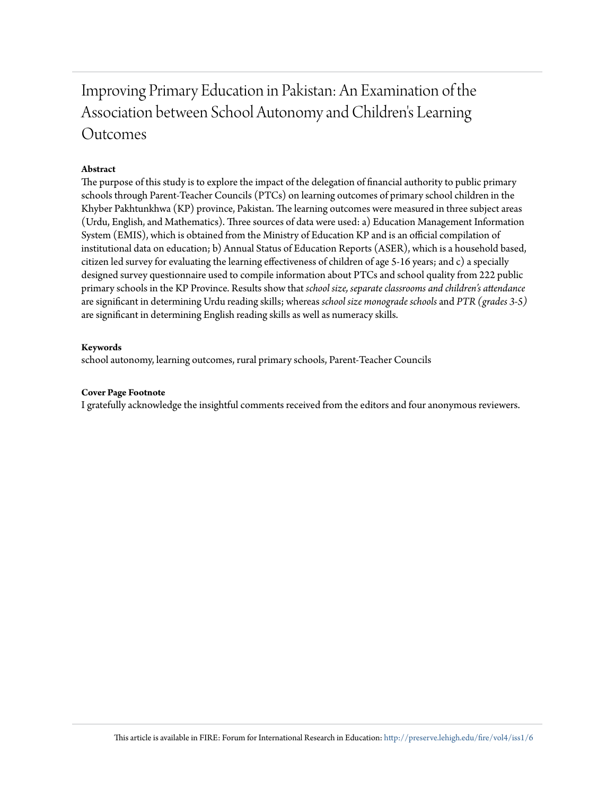# Improving Primary Education in Pakistan: An Examination of the Association between School Autonomy and Children's Learning Outcomes

### **Abstract**

The purpose of this study is to explore the impact of the delegation of financial authority to public primary schools through Parent-Teacher Councils (PTCs) on learning outcomes of primary school children in the Khyber Pakhtunkhwa (KP) province, Pakistan. The learning outcomes were measured in three subject areas (Urdu, English, and Mathematics). Three sources of data were used: a) Education Management Information System (EMIS), which is obtained from the Ministry of Education KP and is an official compilation of institutional data on education; b) Annual Status of Education Reports (ASER), which is a household based, citizen led survey for evaluating the learning effectiveness of children of age 5-16 years; and c) a specially designed survey questionnaire used to compile information about PTCs and school quality from 222 public primary schools in the KP Province. Results show that *school size, separate classrooms and children's attendance* are significant in determining Urdu reading skills; whereas *school size monograde schools* and *PTR (grades 3-5)* are significant in determining English reading skills as well as numeracy skills.

#### **Keywords**

school autonomy, learning outcomes, rural primary schools, Parent-Teacher Councils

#### **Cover Page Footnote**

I gratefully acknowledge the insightful comments received from the editors and four anonymous reviewers.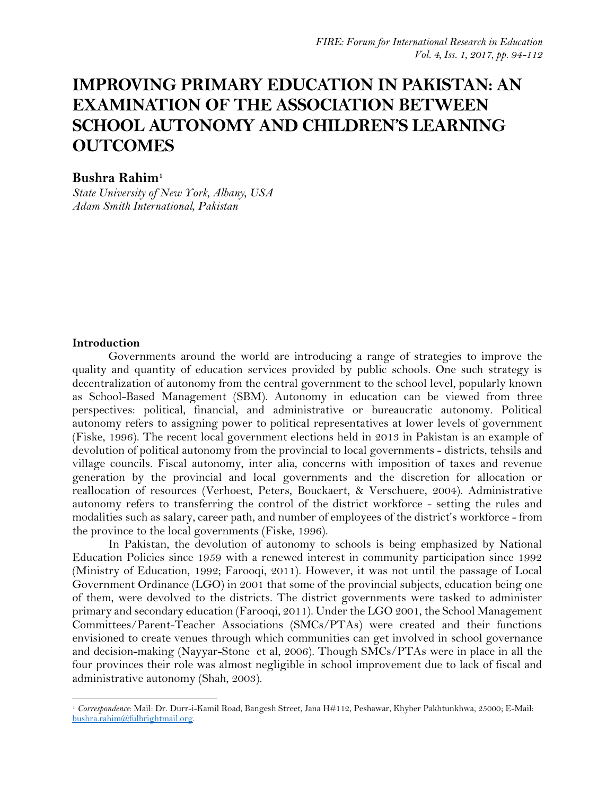# **IMPROVING PRIMARY EDUCATION IN PAKISTAN: AN EXAMINATION OF THE ASSOCIATION BETWEEN SCHOOL AUTONOMY AND CHILDREN'S LEARNING OUTCOMES**

# **Bushra Rahim<sup>1</sup>**

*State University of New York, Albany, USA Adam Smith International, Pakistan*

### **Introduction**

 $\overline{\phantom{a}}$ 

Governments around the world are introducing a range of strategies to improve the quality and quantity of education services provided by public schools. One such strategy is decentralization of autonomy from the central government to the school level, popularly known as School-Based Management (SBM). Autonomy in education can be viewed from three perspectives: political, financial, and administrative or bureaucratic autonomy. Political autonomy refers to assigning power to political representatives at lower levels of government (Fiske, 1996). The recent local government elections held in 2013 in Pakistan is an example of devolution of political autonomy from the provincial to local governments - districts, tehsils and village councils. Fiscal autonomy, inter alia, concerns with imposition of taxes and revenue generation by the provincial and local governments and the discretion for allocation or reallocation of resources (Verhoest, Peters, Bouckaert, & Verschuere, 2004). Administrative autonomy refers to transferring the control of the district workforce - setting the rules and modalities such as salary, career path, and number of employees of the district's workforce - from the province to the local governments (Fiske, 1996).

In Pakistan, the devolution of autonomy to schools is being emphasized by National Education Policies since 1959 with a renewed interest in community participation since 1992 (Ministry of Education, 1992; Farooqi, 2011). However, it was not until the passage of Local Government Ordinance (LGO) in 2001 that some of the provincial subjects, education being one of them, were devolved to the districts. The district governments were tasked to administer primary and secondary education (Farooqi, 2011). Under the LGO 2001, the School Management Committees/Parent-Teacher Associations (SMCs/PTAs) were created and their functions envisioned to create venues through which communities can get involved in school governance and decision-making (Nayyar-Stone et al, 2006). Though SMCs/PTAs were in place in all the four provinces their role was almost negligible in school improvement due to lack of fiscal and administrative autonomy (Shah, 2003).

<sup>1</sup> *Correspondence*: Mail: Dr. Durr-i-Kamil Road, Bangesh Street, Jana H#112, Peshawar, Khyber Pakhtunkhwa, 25000; E-Mail: [bushra.rahim@fulbrightmail.org.](mailto:bushra.rahim@fulbrightmail.org)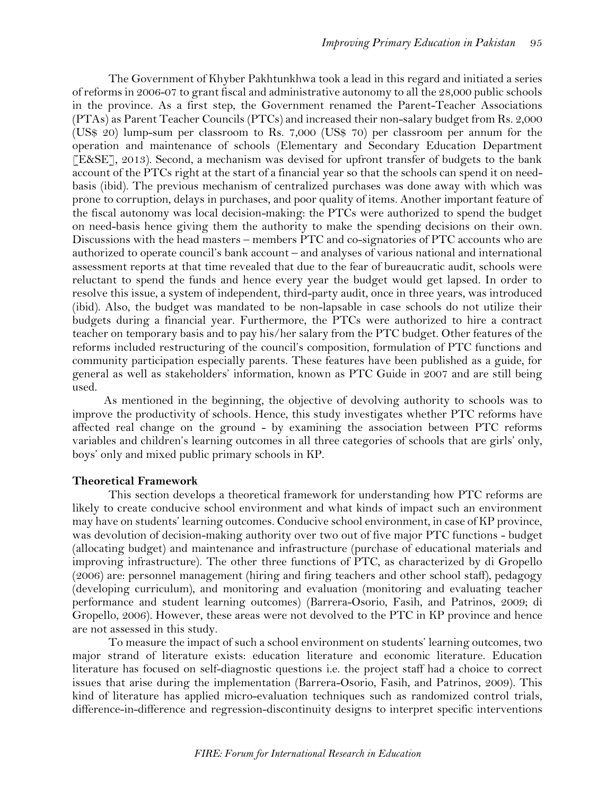The Government of Khyber Pakhtunkhwa took a lead in this regard and initiated a series of reforms in 2006-07 to grant fiscal and administrative autonomy to all the 28,000 public schools in the province. As a first step, the Government renamed the Parent-Teacher Associations (PTAs) as Parent Teacher Councils (PTCs) and increased their non-salary budget from Rs. 2,000 (US\$ 20) lump-sum per classroom to Rs. 7,000 (US\$ 70) per classroom per annum for the operation and maintenance of schools (Elementary and Secondary Education Department [E&SE], 2013). Second, a mechanism was devised for upfront transfer of budgets to the bank account of the PTCs right at the start of a financial year so that the schools can spend it on needbasis (ibid). The previous mechanism of centralized purchases was done away with which was prone to corruption, delays in purchases, and poor quality of items. Another important feature of the fiscal autonomy was local decision-making: the PTCs were authorized to spend the budget on need-basis hence giving them the authority to make the spending decisions on their own. Discussions with the head masters – members PTC and co-signatories of PTC accounts who are authorized to operate council's bank account – and analyses of various national and international assessment reports at that time revealed that due to the fear of bureaucratic audit, schools were reluctant to spend the funds and hence every year the budget would get lapsed. In order to resolve this issue, a system of independent, third-party audit, once in three years, was introduced (ibid). Also, the budget was mandated to be non-lapsable in case schools do not utilize their budgets during a financial year. Furthermore, the PTCs were authorized to hire a contract teacher on temporary basis and to pay his/her salary from the PTC budget. Other features of the reforms included restructuring of the council's composition, formulation of PTC functions and community participation especially parents. These features have been published as a guide, for general as well as stakeholders' information, known as PTC Guide in 2007 and are still being used.

As mentioned in the beginning, the objective of devolving authority to schools was to improve the productivity of schools. Hence, this study investigates whether PTC reforms have affected real change on the ground - by examining the association between PTC reforms variables and children's learning outcomes in all three categories of schools that are girls' only, boys' only and mixed public primary schools in KP.

#### **Theoretical Framework**

This section develops a theoretical framework for understanding how PTC reforms are likely to create conducive school environment and what kinds of impact such an environment may have on students' learning outcomes. Conducive school environment, in case of KP province, was devolution of decision-making authority over two out of five major PTC functions - budget (allocating budget) and maintenance and infrastructure (purchase of educational materials and improving infrastructure). The other three functions of PTC, as characterized by di Gropello (2006) are: personnel management (hiring and firing teachers and other school staff), pedagogy (developing curriculum), and monitoring and evaluation (monitoring and evaluating teacher performance and student learning outcomes) (Barrera-Osorio, Fasih, and Patrinos, 2009; di Gropello, 2006). However, these areas were not devolved to the PTC in KP province and hence are not assessed in this study.

To measure the impact of such a school environment on students' learning outcomes, two major strand of literature exists: education literature and economic literature. Education literature has focused on self-diagnostic questions i.e. the project staff had a choice to correct issues that arise during the implementation (Barrera-Osorio, Fasih, and Patrinos, 2009). This kind of literature has applied micro-evaluation techniques such as randomized control trials, difference-in-difference and regression-discontinuity designs to interpret specific interventions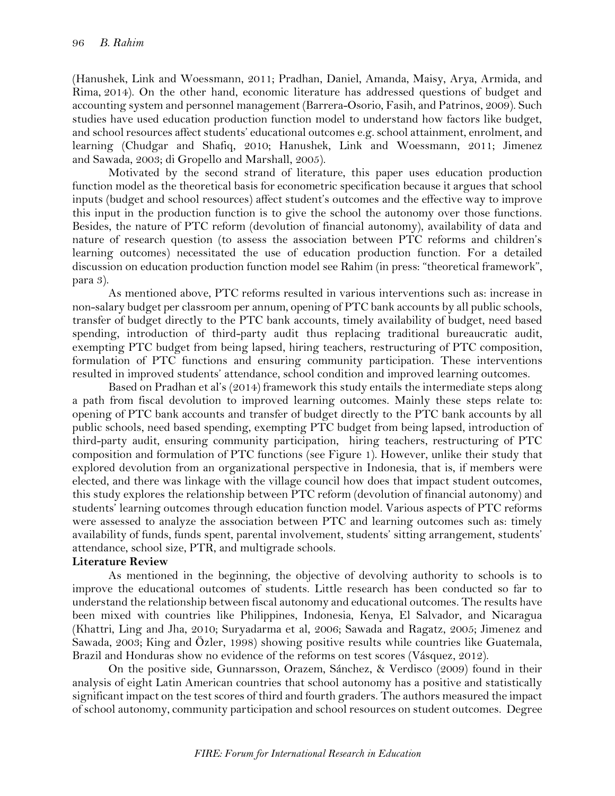(Hanushek, Link and Woessmann, 2011; Pradhan, Daniel, Amanda, Maisy, Arya, Armida, and Rima, 2014). On the other hand, economic literature has addressed questions of budget and accounting system and personnel management (Barrera-Osorio, Fasih, and Patrinos, 2009). Such studies have used education production function model to understand how factors like budget, and school resources affect students' educational outcomes e.g. school attainment, enrolment, and learning (Chudgar and Shafiq, 2010; Hanushek, Link and Woessmann, 2011; Jimenez and [Sawada,](http://econpapers.repec.org/RAS/psa494.htm) 2003; di Gropello and Marshall, 2005).

Motivated by the second strand of literature, this paper uses education production function model as the theoretical basis for econometric specification because it argues that school inputs (budget and school resources) affect student's outcomes and the effective way to improve this input in the production function is to give the school the autonomy over those functions. Besides, the nature of PTC reform (devolution of financial autonomy), availability of data and nature of research question (to assess the association between PTC reforms and children's learning outcomes) necessitated the use of education production function. For a detailed discussion on education production function model see Rahim (in press: "theoretical framework", para 3).

As mentioned above, PTC reforms resulted in various interventions such as: increase in non-salary budget per classroom per annum, opening of PTC bank accounts by all public schools, transfer of budget directly to the PTC bank accounts, timely availability of budget, need based spending, introduction of third-party audit thus replacing traditional bureaucratic audit, exempting PTC budget from being lapsed, hiring teachers, restructuring of PTC composition, formulation of PTC functions and ensuring community participation. These interventions resulted in improved students' attendance, school condition and improved learning outcomes.

Based on Pradhan et al's (2014) framework this study entails the intermediate steps along a path from fiscal devolution to improved learning outcomes. Mainly these steps relate to: opening of PTC bank accounts and transfer of budget directly to the PTC bank accounts by all public schools, need based spending, exempting PTC budget from being lapsed, introduction of third-party audit, ensuring community participation, hiring teachers, restructuring of PTC composition and formulation of PTC functions (see Figure 1). However, unlike their study that explored devolution from an organizational perspective in Indonesia, that is, if members were elected, and there was linkage with the village council how does that impact student outcomes, this study explores the relationship between PTC reform (devolution of financial autonomy) and students' learning outcomes through education function model. Various aspects of PTC reforms were assessed to analyze the association between PTC and learning outcomes such as: timely availability of funds, funds spent, parental involvement, students' sitting arrangement, students' attendance, school size, PTR, and multigrade schools.

## **Literature Review**

As mentioned in the beginning, the objective of devolving authority to schools is to improve the educational outcomes of students. Little research has been conducted so far to understand the relationship between fiscal autonomy and educational outcomes. The results have been mixed with countries like Philippines, Indonesia, Kenya, El Salvador, and Nicaragua (Khattri, Ling and Jha, 2010; Suryadarma et al, 2006; Sawada and Ragatz, 2005; Jimenez and Sawada, 2003; King and Özler, 1998) showing positive results while countries like Guatemala, Brazil and Honduras show no evidence of the reforms on test scores (Vásquez, 2012).

On the positive side, Gunnarsson, Orazem, Sánchez, & Verdisco (2009) found in their analysis of eight Latin American countries that school autonomy has a positive and statistically significant impact on the test scores of third and fourth graders. The authors measured the impact of school autonomy, community participation and school resources on student outcomes. Degree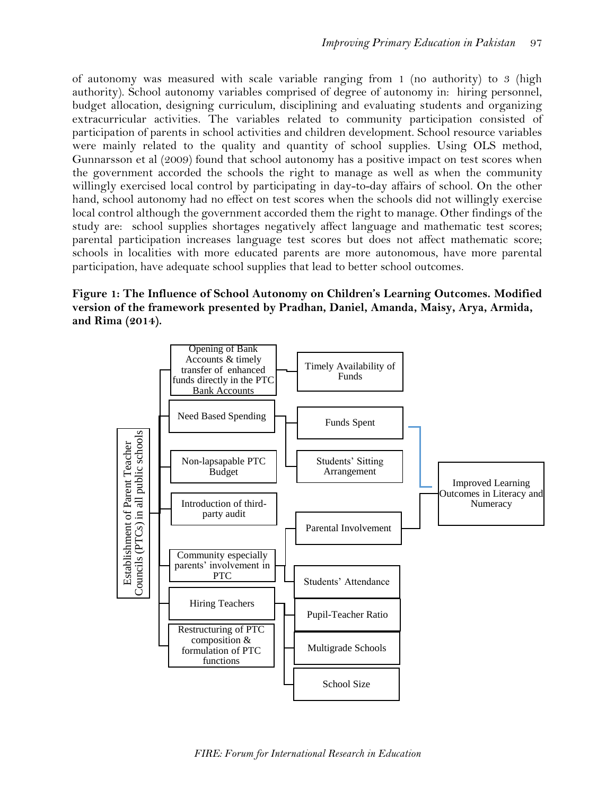of autonomy was measured with scale variable ranging from 1 (no authority) to 3 (high authority). School autonomy variables comprised of degree of autonomy in: hiring personnel, budget allocation, designing curriculum, disciplining and evaluating students and organizing extracurricular activities. The variables related to community participation consisted of participation of parents in school activities and children development. School resource variables were mainly related to the quality and quantity of school supplies. Using OLS method, Gunnarsson et al (2009) found that school autonomy has a positive impact on test scores when the government accorded the schools the right to manage as well as when the community willingly exercised local control by participating in day-to-day affairs of school. On the other hand, school autonomy had no effect on test scores when the schools did not willingly exercise local control although the government accorded them the right to manage. Other findings of the study are: school supplies shortages negatively affect language and mathematic test scores; parental participation increases language test scores but does not affect mathematic score; schools in localities with more educated parents are more autonomous, have more parental participation, have adequate school supplies that lead to better school outcomes.

**Figure 1: The Influence of School Autonomy on Children's Learning Outcomes. Modified version of the framework presented by Pradhan, Daniel, Amanda, Maisy, Arya, Armida, and Rima (2014).**

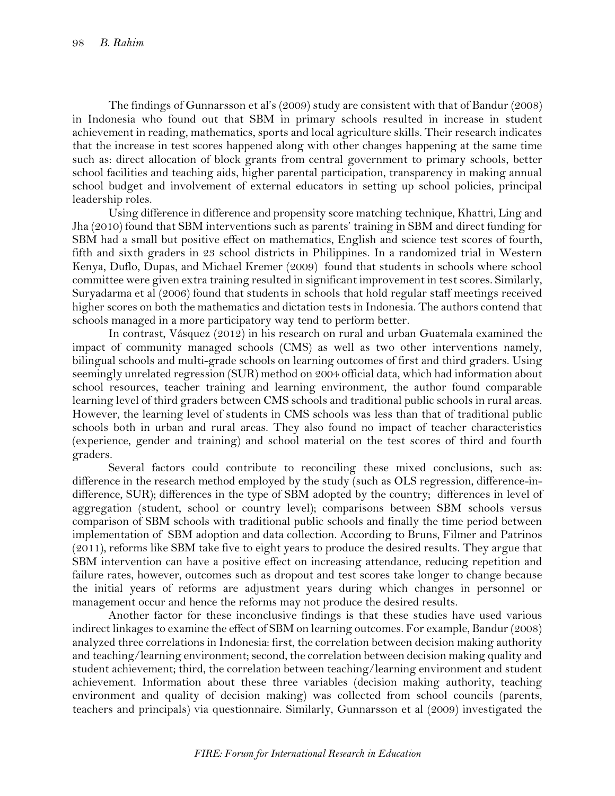The findings of Gunnarsson et al's (2009) study are consistent with that of Bandur (2008) in Indonesia who found out that SBM in primary schools resulted in increase in student achievement in reading, mathematics, sports and local agriculture skills. Their research indicates that the increase in test scores happened along with other changes happening at the same time such as: direct allocation of block grants from central government to primary schools, better school facilities and teaching aids, higher parental participation, transparency in making annual school budget and involvement of external educators in setting up school policies, principal leadership roles.

Using difference in difference and propensity score matching technique, Khattri, Ling and Jha (2010) found that SBM interventions such as parents' training in SBM and direct funding for SBM had a small but positive effect on mathematics, English and science test scores of fourth, fifth and sixth graders in 23 school districts in Philippines. In a randomized trial in Western Kenya, Duflo, Dupas, and Michael Kremer (2009) found that students in schools where school committee were given extra training resulted in significant improvement in test scores. Similarly, Suryadarma et al (2006) found that students in schools that hold regular staff meetings received higher scores on both the mathematics and dictation tests in Indonesia. The authors contend that schools managed in a more participatory way tend to perform better.

In contrast, Vásquez (2012) in his research on rural and urban Guatemala examined the impact of community managed schools (CMS) as well as two other interventions namely, bilingual schools and multi-grade schools on learning outcomes of first and third graders. Using seemingly unrelated regression (SUR) method on 2004 official data, which had information about school resources, teacher training and learning environment, the author found comparable learning level of third graders between CMS schools and traditional public schools in rural areas. However, the learning level of students in CMS schools was less than that of traditional public schools both in urban and rural areas. They also found no impact of teacher characteristics (experience, gender and training) and school material on the test scores of third and fourth graders.

Several factors could contribute to reconciling these mixed conclusions, such as: difference in the research method employed by the study (such as OLS regression, difference-indifference, SUR); differences in the type of SBM adopted by the country; differences in level of aggregation (student, school or country level); comparisons between SBM schools versus comparison of SBM schools with traditional public schools and finally the time period between implementation of SBM adoption and data collection. According to Bruns, Filmer and Patrinos (2011), reforms like SBM take five to eight years to produce the desired results. They argue that SBM intervention can have a positive effect on increasing attendance, reducing repetition and failure rates, however, outcomes such as dropout and test scores take longer to change because the initial years of reforms are adjustment years during which changes in personnel or management occur and hence the reforms may not produce the desired results.

Another factor for these inconclusive findings is that these studies have used various indirect linkages to examine the effect of SBM on learning outcomes. For example, Bandur (2008) analyzed three correlations in Indonesia: first, the correlation between decision making authority and teaching/learning environment; second, the correlation between decision making quality and student achievement; third, the correlation between teaching/learning environment and student achievement. Information about these three variables (decision making authority, teaching environment and quality of decision making) was collected from school councils (parents, teachers and principals) via questionnaire. Similarly, Gunnarsson et al (2009) investigated the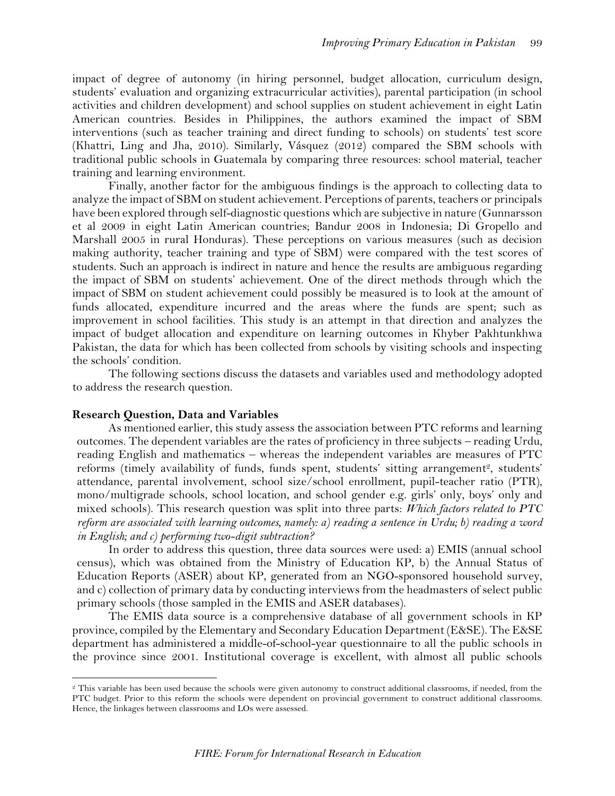impact of degree of autonomy (in hiring personnel, budget allocation, curriculum design, students' evaluation and organizing extracurricular activities), parental participation (in school activities and children development) and school supplies on student achievement in eight Latin American countries. Besides in Philippines, the authors examined the impact of SBM interventions (such as teacher training and direct funding to schools) on students' test score (Khattri, Ling and Jha, 2010). Similarly, Vásquez (2012) compared the SBM schools with traditional public schools in Guatemala by comparing three resources: school material, teacher training and learning environment.

Finally, another factor for the ambiguous findings is the approach to collecting data to analyze the impact of SBM on student achievement. Perceptions of parents, teachers or principals have been explored through self-diagnostic questions which are subjective in nature (Gunnarsson et al 2009 in eight Latin American countries; Bandur 2008 in Indonesia; Di Gropello and Marshall 2005 in rural Honduras). These perceptions on various measures (such as decision making authority, teacher training and type of SBM) were compared with the test scores of students. Such an approach is indirect in nature and hence the results are ambiguous regarding the impact of SBM on students' achievement. One of the direct methods through which the impact of SBM on student achievement could possibly be measured is to look at the amount of funds allocated, expenditure incurred and the areas where the funds are spent; such as improvement in school facilities. This study is an attempt in that direction and analyzes the impact of budget allocation and expenditure on learning outcomes in Khyber Pakhtunkhwa Pakistan, the data for which has been collected from schools by visiting schools and inspecting the schools' condition.

The following sections discuss the datasets and variables used and methodology adopted to address the research question.

#### **Research Question, Data and Variables**

 $\overline{\phantom{a}}$ 

As mentioned earlier, this study assess the association between PTC reforms and learning outcomes. The dependent variables are the rates of proficiency in three subjects – reading Urdu, reading English and mathematics – whereas the independent variables are measures of PTC reforms (timely availability of funds, funds spent, students' sitting arrangement<sup>2</sup>, students' attendance, parental involvement, school size/school enrollment, pupil-teacher ratio (PTR), mono/multigrade schools, school location, and school gender e.g. girls' only, boys' only and mixed schools). This research question was split into three parts: *Which factors related to PTC reform are associated with learning outcomes, namely: a) reading a sentence in Urdu; b) reading a word in English; and c) performing two-digit subtraction?*

In order to address this question, three data sources were used: a) EMIS (annual school census), which was obtained from the Ministry of Education KP, b) the Annual Status of Education Reports (ASER) about KP, generated from an NGO-sponsored household survey, and c) collection of primary data by conducting interviews from the headmasters of select public primary schools (those sampled in the EMIS and ASER databases).

The EMIS data source is a comprehensive database of all government schools in KP province, compiled by the Elementary and Secondary Education Department (E&SE). The E&SE department has administered a middle-of-school-year questionnaire to all the public schools in the province since 2001. Institutional coverage is excellent, with almost all public schools

<sup>&</sup>lt;sup>2</sup> This variable has been used because the schools were given autonomy to construct additional classrooms, if needed, from the PTC budget. Prior to this reform the schools were dependent on provincial government to construct additional classrooms. Hence, the linkages between classrooms and LOs were assessed.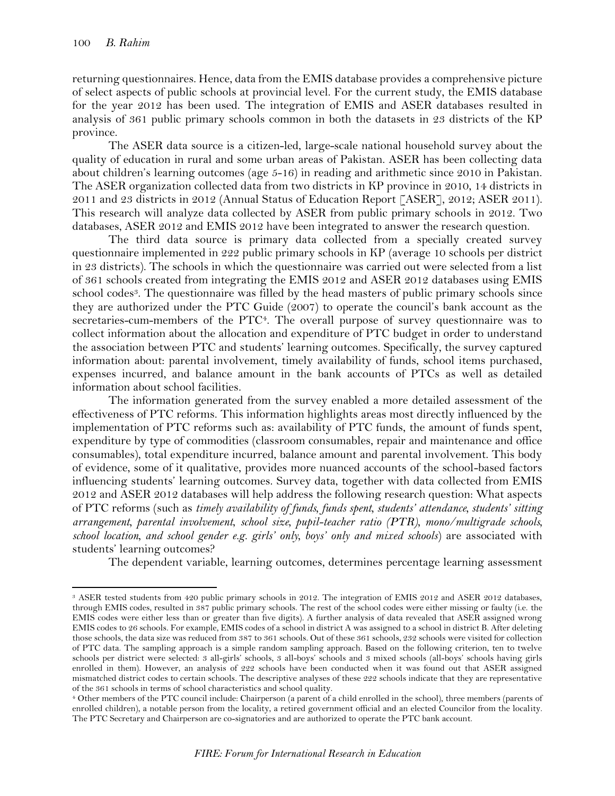l

returning questionnaires. Hence, data from the EMIS database provides a comprehensive picture of select aspects of public schools at provincial level. For the current study, the EMIS database for the year 2012 has been used. The integration of EMIS and ASER databases resulted in analysis of 361 public primary schools common in both the datasets in 23 districts of the KP province.

The ASER data source is a citizen-led, large-scale national household survey about the quality of education in rural and some urban areas of Pakistan. ASER has been collecting data about children's learning outcomes (age 5-16) in reading and arithmetic since 2010 in Pakistan. The ASER organization collected data from two districts in KP province in 2010, 14 districts in 2011 and 23 districts in 2012 (Annual Status of Education Report [ASER], 2012; ASER 2011). This research will analyze data collected by ASER from public primary schools in 2012. Two databases, ASER 2012 and EMIS 2012 have been integrated to answer the research question.

The third data source is primary data collected from a specially created survey questionnaire implemented in 222 public primary schools in KP (average 10 schools per district in 23 districts). The schools in which the questionnaire was carried out were selected from a list of 361 schools created from integrating the EMIS 2012 and ASER 2012 databases using EMIS school codes<sup>3</sup>. The questionnaire was filled by the head masters of public primary schools since they are authorized under the PTC Guide (2007) to operate the council's bank account as the secretaries-cum-members of the PTC<sup>4</sup>. The overall purpose of survey questionnaire was to collect information about the allocation and expenditure of PTC budget in order to understand the association between PTC and students' learning outcomes. Specifically, the survey captured information about: parental involvement, timely availability of funds, school items purchased, expenses incurred, and balance amount in the bank accounts of PTCs as well as detailed information about school facilities.

The information generated from the survey enabled a more detailed assessment of the effectiveness of PTC reforms. This information highlights areas most directly influenced by the implementation of PTC reforms such as: availability of PTC funds, the amount of funds spent, expenditure by type of commodities (classroom consumables, repair and maintenance and office consumables), total expenditure incurred, balance amount and parental involvement. This body of evidence, some of it qualitative, provides more nuanced accounts of the school-based factors influencing students' learning outcomes. Survey data, together with data collected from EMIS 2012 and ASER 2012 databases will help address the following research question: What aspects of PTC reforms (such as *timely availability of funds, funds spent, students' attendance, students' sitting arrangement, parental involvement*, *school size, pupil-teacher ratio (PTR), mono/multigrade schools, school location, and school gender e.g. girls' only, boys' only and mixed schools*) are associated with students' learning outcomes?

The dependent variable, learning outcomes, determines percentage learning assessment

<sup>3</sup> ASER tested students from 420 public primary schools in 2012. The integration of EMIS 2012 and ASER 2012 databases, through EMIS codes, resulted in 387 public primary schools. The rest of the school codes were either missing or faulty (i.e. the EMIS codes were either less than or greater than five digits). A further analysis of data revealed that ASER assigned wrong EMIS codes to 26 schools. For example, EMIS codes of a school in district A was assigned to a school in district B. After deleting those schools, the data size was reduced from 387 to 361 schools. Out of these 361 schools, 232 schools were visited for collection of PTC data. The sampling approach is a simple random sampling approach. Based on the following criterion, ten to twelve schools per district were selected: 3 all-girls' schools, 3 all-boys' schools and 3 mixed schools (all-boys' schools having girls enrolled in them). However, an analysis of 222 schools have been conducted when it was found out that ASER assigned mismatched district codes to certain schools. The descriptive analyses of these 222 schools indicate that they are representative of the 361 schools in terms of school characteristics and school quality.

<sup>4</sup> Other members of the PTC council include: Chairperson (a parent of a child enrolled in the school), three members (parents of enrolled children), a notable person from the locality, a retired government official and an elected Councilor from the locality. The PTC Secretary and Chairperson are co-signatories and are authorized to operate the PTC bank account.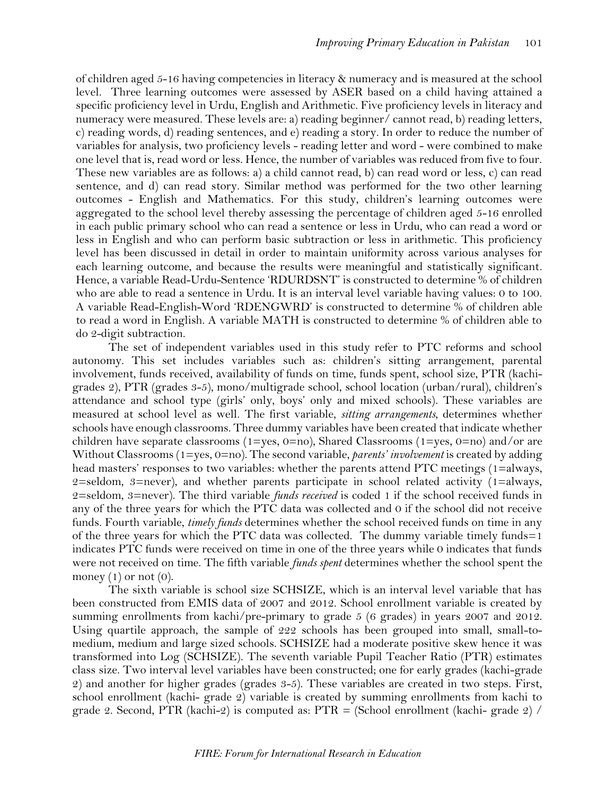of children aged 5-16 having competencies in literacy & numeracy and is measured at the school level. Three learning outcomes were assessed by ASER based on a child having attained a specific proficiency level in Urdu, English and Arithmetic. Five proficiency levels in literacy and numeracy were measured. These levels are: a) reading beginner/ cannot read, b) reading letters, c) reading words, d) reading sentences, and e) reading a story. In order to reduce the number of variables for analysis, two proficiency levels - reading letter and word - were combined to make one level that is, read word or less. Hence, the number of variables was reduced from five to four. These new variables are as follows: a) a child cannot read, b) can read word or less, c) can read sentence, and d) can read story. Similar method was performed for the two other learning outcomes - English and Mathematics. For this study, children's learning outcomes were aggregated to the school level thereby assessing the percentage of children aged 5-16 enrolled in each public primary school who can read a sentence or less in Urdu, who can read a word or less in English and who can perform basic subtraction or less in arithmetic. This proficiency level has been discussed in detail in order to maintain uniformity across various analyses for each learning outcome, and because the results were meaningful and statistically significant. Hence, a variable Read-Urdu-Sentence 'RDURDSNT' is constructed to determine % of children who are able to read a sentence in Urdu. It is an interval level variable having values: 0 to 100. A variable Read-English-Word 'RDENGWRD' is constructed to determine % of children able to read a word in English. A variable MATH is constructed to determine % of children able to do 2-digit subtraction.

The set of independent variables used in this study refer to PTC reforms and school autonomy. This set includes variables such as: children's sitting arrangement, parental involvement, funds received, availability of funds on time, funds spent, school size, PTR (kachigrades 2), PTR (grades 3-5), mono/multigrade school, school location (urban/rural), children's attendance and school type (girls' only, boys' only and mixed schools). These variables are measured at school level as well. The first variable, *sitting arrangements*, determines whether schools have enough classrooms. Three dummy variables have been created that indicate whether children have separate classrooms (1=yes, 0=no), Shared Classrooms (1=yes, 0=no) and/or are Without Classrooms(1=yes, 0=no). The second variable, *parents' involvement* is created by adding head masters' responses to two variables: whether the parents attend PTC meetings (1=always, 2=seldom, 3=never), and whether parents participate in school related activity (1=always, 2=seldom, 3=never). The third variable *funds received* is coded 1 if the school received funds in any of the three years for which the PTC data was collected and 0 if the school did not receive funds. Fourth variable, *timely funds* determines whether the school received funds on time in any of the three years for which the PTC data was collected. The dummy variable timely funds=1 indicates PTC funds were received on time in one of the three years while 0 indicates that funds were not received on time. The fifth variable *funds spent* determines whether the school spent the money  $(1)$  or not  $(0)$ .

The sixth variable is school size SCHSIZE, which is an interval level variable that has been constructed from EMIS data of 2007 and 2012. School enrollment variable is created by summing enrollments from kachi/pre-primary to grade 5 (6 grades) in years 2007 and 2012. Using quartile approach, the sample of 222 schools has been grouped into small, small-tomedium, medium and large sized schools. SCHSIZE had a moderate positive skew hence it was transformed into Log (SCHSIZE). The seventh variable Pupil Teacher Ratio (PTR) estimates class size. Two interval level variables have been constructed; one for early grades (kachi-grade 2) and another for higher grades (grades 3-5). These variables are created in two steps. First, school enrollment (kachi- grade 2) variable is created by summing enrollments from kachi to grade 2. Second, PTR (kachi-2) is computed as:  $PTR = (School error)$  (kachi- grade 2) /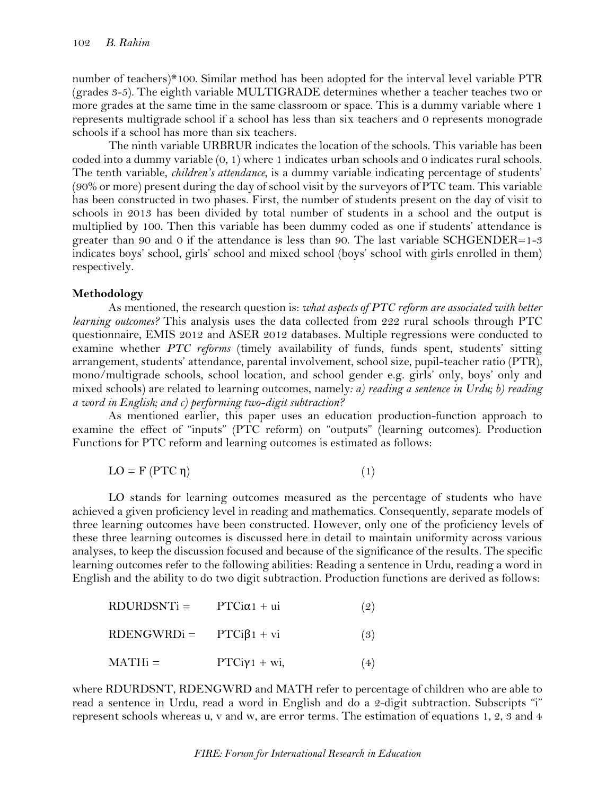number of teachers)\*100. Similar method has been adopted for the interval level variable PTR (grades 3-5). The eighth variable MULTIGRADE determines whether a teacher teaches two or more grades at the same time in the same classroom or space. This is a dummy variable where 1 represents multigrade school if a school has less than six teachers and 0 represents monograde schools if a school has more than six teachers.

The ninth variable URBRUR indicates the location of the schools. This variable has been coded into a dummy variable (0, 1) where 1 indicates urban schools and 0 indicates rural schools. The tenth variable, *children's attendance*, is a dummy variable indicating percentage of students' (90% or more) present during the day of school visit by the surveyors of PTC team. This variable has been constructed in two phases. First, the number of students present on the day of visit to schools in 2013 has been divided by total number of students in a school and the output is multiplied by 100. Then this variable has been dummy coded as one if students' attendance is greater than 90 and 0 if the attendance is less than 90. The last variable SCHGENDER=1-3 indicates boys' school, girls' school and mixed school (boys' school with girls enrolled in them) respectively.

#### **Methodology**

As mentioned, the research question is: *what aspects of PTC reform are associated with better learning outcomes?* This analysis uses the data collected from 222 rural schools through PTC questionnaire, EMIS 2012 and ASER 2012 databases. Multiple regressions were conducted to examine whether *PTC reforms* (timely availability of funds, funds spent, students' sitting arrangement, students' attendance, parental involvement, school size, pupil-teacher ratio (PTR), mono/multigrade schools, school location, and school gender e.g. girls' only, boys' only and mixed schools) are related to learning outcomes, namely*: a) reading a sentence in Urdu; b) reading a word in English; and c) performing two-digit subtraction?*

As mentioned earlier, this paper uses an education production-function approach to examine the effect of "inputs" (PTC reform) on "outputs" (learning outcomes). Production Functions for PTC reform and learning outcomes is estimated as follows:

$$
LO = F (PTC \eta) \tag{1}
$$

LO stands for learning outcomes measured as the percentage of students who have achieved a given proficiency level in reading and mathematics. Consequently, separate models of three learning outcomes have been constructed. However, only one of the proficiency levels of these three learning outcomes is discussed here in detail to maintain uniformity across various analyses, to keep the discussion focused and because of the significance of the results. The specific learning outcomes refer to the following abilities: Reading a sentence in Urdu, reading a word in English and the ability to do two digit subtraction. Production functions are derived as follows:

| $RDURDSNTi = PTCi \alpha 1 + ui$ |                | (2) |
|----------------------------------|----------------|-----|
| $RDENGWRDi = PTCi\beta1 + vi$    |                | (3) |
| $MATHi =$                        | $PTCiy1 + wi,$ | (4) |

where RDURDSNT, RDENGWRD and MATH refer to percentage of children who are able to read a sentence in Urdu, read a word in English and do a 2-digit subtraction. Subscripts "i" represent schools whereas u, v and w, are error terms. The estimation of equations 1, 2, 3 and 4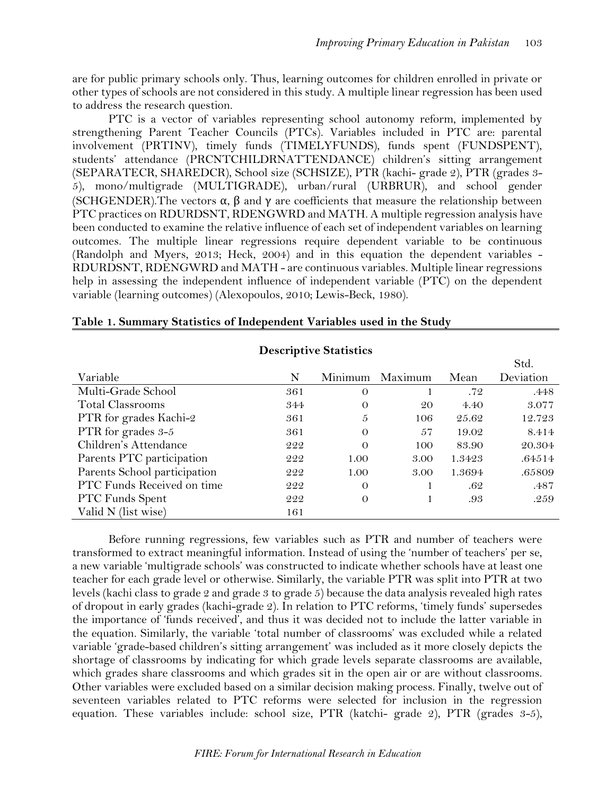are for public primary schools only. Thus, learning outcomes for children enrolled in private or other types of schools are not considered in this study. A multiple linear regression has been used to address the research question.

PTC is a vector of variables representing school autonomy reform, implemented by strengthening Parent Teacher Councils (PTCs). Variables included in PTC are: parental involvement (PRTINV), timely funds (TIMELYFUNDS), funds spent (FUNDSPENT), students' attendance (PRCNTCHILDRNATTENDANCE) children's sitting arrangement (SEPARATECR, SHAREDCR), School size (SCHSIZE), PTR (kachi- grade 2), PTR (grades 3- 5), mono/multigrade (MULTIGRADE), urban/rural (URBRUR), and school gender (SCHGENDER). The vectors  $\alpha$ ,  $\beta$  and  $\gamma$  are coefficients that measure the relationship between PTC practices on RDURDSNT, RDENGWRD and MATH. A multiple regression analysis have been conducted to examine the relative influence of each set of independent variables on learning outcomes. The multiple linear regressions require dependent variable to be continuous (Randolph and Myers, 2013; Heck, 2004) and in this equation the dependent variables - RDURDSNT, RDENGWRD and MATH - are continuous variables. Multiple linear regressions help in assessing the independent influence of independent variable (PTC) on the dependent variable (learning outcomes) (Alexopoulos, 2010; Lewis-Beck, 1980).

|                              |     |          |         |        | Std.      |
|------------------------------|-----|----------|---------|--------|-----------|
| Variable                     | N   | Minimum  | Maximum | Mean   | Deviation |
| Multi-Grade School           | 361 | $\Omega$ |         | .72    | .448      |
| <b>Total Classrooms</b>      | 344 | $\Omega$ | 20      | 4.40   | 3.077     |
| PTR for grades Kachi-2       | 361 | 5        | 106     | 25.62  | 12.723    |
| PTR for grades 3-5           | 361 | $\Omega$ | 57      | 19.02  | 8.414     |
| Children's Attendance        | 222 | $\Omega$ | 100     | 83.90  | 20.304    |
| Parents PTC participation    | 222 | 1.00     | 3.00    | 1.3423 | .64514    |
| Parents School participation | 222 | 1.00     | 3.00    | 1.3694 | .65809    |
| PTC Funds Received on time   | 222 | $\Omega$ |         | .62    | .487      |
| <b>PTC Funds Spent</b>       | 222 | $\Omega$ |         | .93    | .259      |
| Valid N (list wise)          | 161 |          |         |        |           |

**Descriptive Statistics**

#### **Table 1. Summary Statistics of Independent Variables used in the Study**

Before running regressions, few variables such as PTR and number of teachers were transformed to extract meaningful information. Instead of using the 'number of teachers' per se, a new variable 'multigrade schools' was constructed to indicate whether schools have at least one teacher for each grade level or otherwise. Similarly, the variable PTR was split into PTR at two levels (kachi class to grade 2 and grade 3 to grade 5) because the data analysis revealed high rates of dropout in early grades (kachi-grade 2). In relation to PTC reforms, 'timely funds' supersedes the importance of 'funds received', and thus it was decided not to include the latter variable in the equation. Similarly, the variable 'total number of classrooms' was excluded while a related variable 'grade-based children's sitting arrangement' was included as it more closely depicts the shortage of classrooms by indicating for which grade levels separate classrooms are available, which grades share classrooms and which grades sit in the open air or are without classrooms. Other variables were excluded based on a similar decision making process. Finally, twelve out of seventeen variables related to PTC reforms were selected for inclusion in the regression equation. These variables include: school size, PTR (katchi- grade 2), PTR (grades 3-5),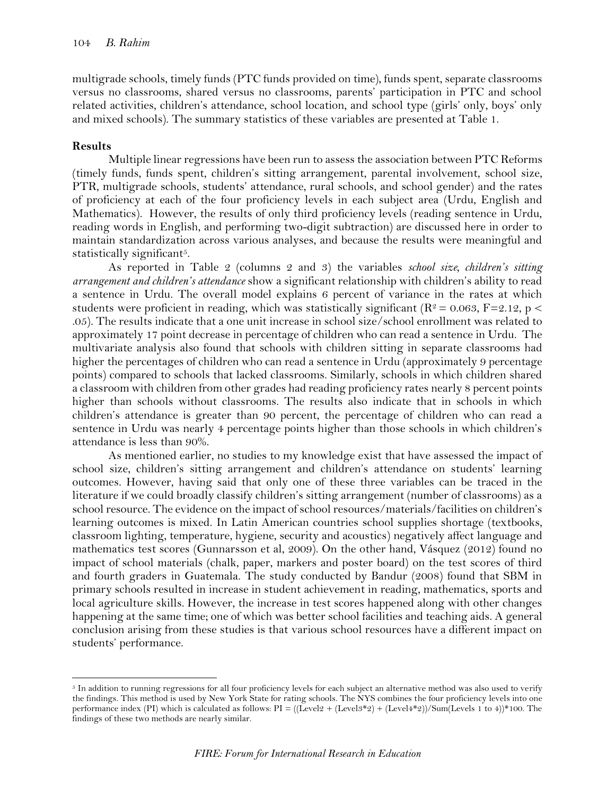multigrade schools, timely funds (PTC funds provided on time), funds spent, separate classrooms versus no classrooms, shared versus no classrooms, parents' participation in PTC and school related activities, children's attendance, school location, and school type (girls' only, boys' only and mixed schools). The summary statistics of these variables are presented at Table 1.

#### **Results**

 $\overline{\phantom{a}}$ 

Multiple linear regressions have been run to assess the association between PTC Reforms (timely funds, funds spent, children's sitting arrangement, parental involvement, school size, PTR, multigrade schools, students' attendance, rural schools, and school gender) and the rates of proficiency at each of the four proficiency levels in each subject area (Urdu, English and Mathematics). However, the results of only third proficiency levels (reading sentence in Urdu, reading words in English, and performing two-digit subtraction) are discussed here in order to maintain standardization across various analyses, and because the results were meaningful and statistically significant<sup>5</sup>.

As reported in Table 2 (columns 2 and 3) the variables *school size, children's sitting arrangement and children's attendance* show a significant relationship with children's ability to read a sentence in Urdu. The overall model explains 6 percent of variance in the rates at which students were proficient in reading, which was statistically significant ( $R^2 = 0.063$ ,  $F=2.12$ , p < .05). The results indicate that a one unit increase in school size/school enrollment was related to approximately 17 point decrease in percentage of children who can read a sentence in Urdu. The multivariate analysis also found that schools with children sitting in separate classrooms had higher the percentages of children who can read a sentence in Urdu (approximately 9 percentage points) compared to schools that lacked classrooms. Similarly, schools in which children shared a classroom with children from other grades had reading proficiency rates nearly 8 percent points higher than schools without classrooms. The results also indicate that in schools in which children's attendance is greater than 90 percent, the percentage of children who can read a sentence in Urdu was nearly 4 percentage points higher than those schools in which children's attendance is less than 90%.

As mentioned earlier, no studies to my knowledge exist that have assessed the impact of school size, children's sitting arrangement and children's attendance on students' learning outcomes. However, having said that only one of these three variables can be traced in the literature if we could broadly classify children's sitting arrangement (number of classrooms) as a school resource. The evidence on the impact of school resources/materials/facilities on children's learning outcomes is mixed. In Latin American countries school supplies shortage (textbooks, classroom lighting, temperature, hygiene, security and acoustics) negatively affect language and mathematics test scores (Gunnarsson et al, 2009). On the other hand, Vásquez (2012) found no impact of school materials (chalk, paper, markers and poster board) on the test scores of third and fourth graders in Guatemala. The study conducted by Bandur (2008) found that SBM in primary schools resulted in increase in student achievement in reading, mathematics, sports and local agriculture skills. However, the increase in test scores happened along with other changes happening at the same time; one of which was better school facilities and teaching aids. A general conclusion arising from these studies is that various school resources have a different impact on students' performance.

<sup>&</sup>lt;sup>5</sup> In addition to running regressions for all four proficiency levels for each subject an alternative method was also used to verify the findings. This method is used by New York State for rating schools. The NYS combines the four proficiency levels into one performance index (PI) which is calculated as follows:  $PI = ((Level2 + (Level3*) + (Level4*))/Sum(Level3 + 1 to 4))*100$ . The findings of these two methods are nearly similar.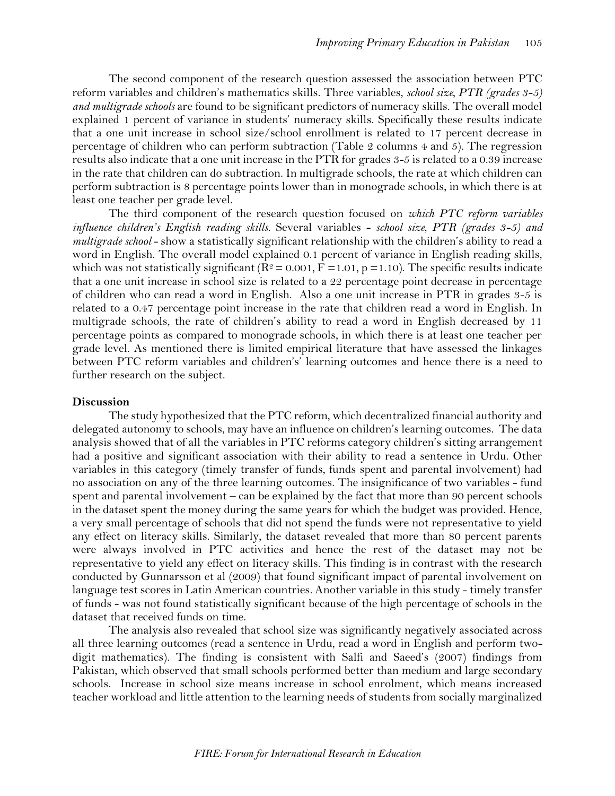The second component of the research question assessed the association between PTC reform variables and children's mathematics skills. Three variables, *school size, PTR (grades 3-5) and multigrade schools* are found to be significant predictors of numeracy skills. The overall model explained 1 percent of variance in students' numeracy skills. Specifically these results indicate that a one unit increase in school size/school enrollment is related to 17 percent decrease in percentage of children who can perform subtraction (Table 2 columns 4 and 5). The regression results also indicate that a one unit increase in the PTR for grades 3-5 is related to a 0.39 increase in the rate that children can do subtraction. In multigrade schools, the rate at which children can perform subtraction is 8 percentage points lower than in monograde schools, in which there is at least one teacher per grade level.

The third component of the research question focused on *which PTC reform variables influence children's English reading skills.* Several variables - *school size, PTR (grades 3-5) and multigrade school* - show a statistically significant relationship with the children's ability to read a word in English. The overall model explained 0.1 percent of variance in English reading skills, which was not statistically significant  $(R^2 = 0.001, F = 1.01, p = 1.10)$ . The specific results indicate that a one unit increase in school size is related to a 22 percentage point decrease in percentage of children who can read a word in English. Also a one unit increase in PTR in grades 3-5 is related to a 0.47 percentage point increase in the rate that children read a word in English. In multigrade schools, the rate of children's ability to read a word in English decreased by 11 percentage points as compared to monograde schools, in which there is at least one teacher per grade level. As mentioned there is limited empirical literature that have assessed the linkages between PTC reform variables and children's' learning outcomes and hence there is a need to further research on the subject.

#### **Discussion**

The study hypothesized that the PTC reform, which decentralized financial authority and delegated autonomy to schools, may have an influence on children's learning outcomes. The data analysis showed that of all the variables in PTC reforms category children's sitting arrangement had a positive and significant association with their ability to read a sentence in Urdu. Other variables in this category (timely transfer of funds, funds spent and parental involvement) had no association on any of the three learning outcomes. The insignificance of two variables - fund spent and parental involvement – can be explained by the fact that more than 90 percent schools in the dataset spent the money during the same years for which the budget was provided. Hence, a very small percentage of schools that did not spend the funds were not representative to yield any effect on literacy skills. Similarly, the dataset revealed that more than 80 percent parents were always involved in PTC activities and hence the rest of the dataset may not be representative to yield any effect on literacy skills. This finding is in contrast with the research conducted by Gunnarsson et al (2009) that found significant impact of parental involvement on language test scores in Latin American countries. Another variable in this study - timely transfer of funds - was not found statistically significant because of the high percentage of schools in the dataset that received funds on time.

The analysis also revealed that school size was significantly negatively associated across all three learning outcomes (read a sentence in Urdu, read a word in English and perform twodigit mathematics). The finding is consistent with Salfi and Saeed's (2007) findings from Pakistan, which observed that small schools performed better than medium and large secondary schools. Increase in school size means increase in school enrolment, which means increased teacher workload and little attention to the learning needs of students from socially marginalized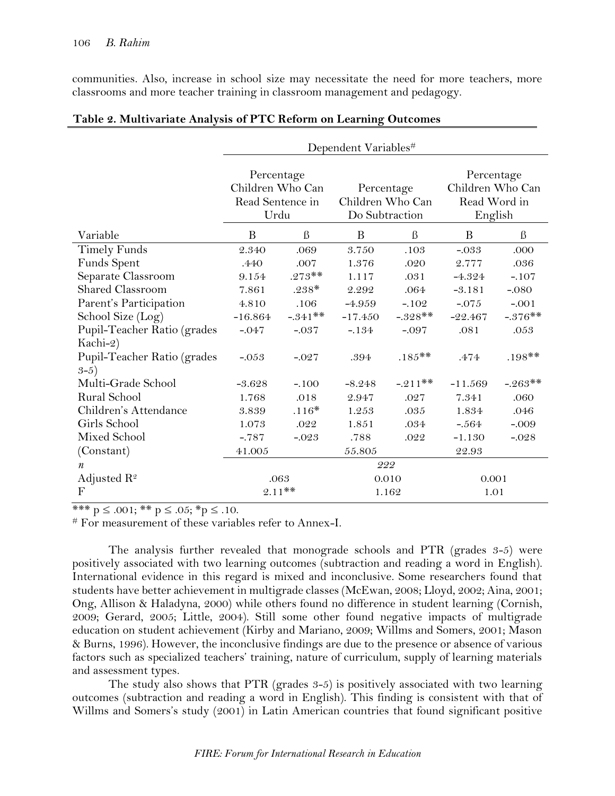communities. Also, increase in school size may necessitate the need for more teachers, more classrooms and more teacher training in classroom management and pedagogy.

|                                                   | Dependent Variables#                                       |           |                                                  |            |                                                           |           |  |  |
|---------------------------------------------------|------------------------------------------------------------|-----------|--------------------------------------------------|------------|-----------------------------------------------------------|-----------|--|--|
|                                                   | Percentage<br>Children Who Can<br>Read Sentence in<br>Urdu |           | Percentage<br>Children Who Can<br>Do Subtraction |            | Percentage<br>Children Who Can<br>Read Word in<br>English |           |  |  |
| Variable                                          | B                                                          | $\beta$   | $\boldsymbol{B}$                                 | $\beta$    | $\boldsymbol{B}$                                          | $\beta$   |  |  |
| <b>Timely Funds</b>                               | 2.340                                                      | .069      | 3.750                                            | .103       | $-.033$                                                   | .000      |  |  |
| Funds Spent                                       | .440                                                       | .007      | 1.376                                            | .020       | 2.777                                                     | .036      |  |  |
| Separate Classroom                                | 9.154                                                      | $.273**$  | 1.117                                            | .031       | $-4.324$                                                  | $-.107$   |  |  |
| Shared Classroom                                  | 7.861                                                      | $.238*$   | 2.292                                            | .064       | $-3.181$                                                  | $-.080$   |  |  |
| Parent's Participation                            | 4.810                                                      | .106      | $-4.959$                                         | $-.102$    | $-.075$                                                   | $-.001$   |  |  |
| School Size (Log)                                 | $-16.864$                                                  | $-.341**$ | $-17.450$                                        | $-.328**$  | $-22.467$                                                 | $-.376**$ |  |  |
| Pupil-Teacher Ratio (grades                       | $-.047$                                                    | $-.037$   | $-.134$                                          | $-.097$    | .081                                                      | .053      |  |  |
| Kachi-2)<br>Pupil-Teacher Ratio (grades<br>$3-5)$ | $-.053$                                                    | $-.027$   | .394                                             | $.185***$  | .474                                                      | $.198**$  |  |  |
| Multi-Grade School                                | $-3.628$                                                   | $-.100$   | $-8.248$                                         | $-.211$ ** | $-11.569$                                                 | $-263**$  |  |  |
| Rural School                                      | 1.768                                                      | .018      | 2.947                                            | .027       | 7.341                                                     | .060      |  |  |
| Children's Attendance                             | 3.839                                                      | $.116*$   | 1.253                                            | .035       | 1.834                                                     | .046      |  |  |
| Girls School                                      | 1.073                                                      | .022      | 1.851                                            | .034       | $-.564$                                                   | $-.009$   |  |  |
| Mixed School                                      | $-.787$                                                    | $-.023$   | .788                                             | .022       | $-1.130$                                                  | $-.028$   |  |  |
| (Constant)                                        | 41.005                                                     |           | 55.805                                           |            | 22.93                                                     |           |  |  |
| $\boldsymbol{n}$                                  | 222                                                        |           |                                                  |            |                                                           |           |  |  |
| Adjusted $\mathbb{R}^2$                           |                                                            | .063      |                                                  | 0.010      |                                                           | 0.001     |  |  |
| $\mathbf{F}$                                      | $2.11**$                                                   |           | 1.162                                            |            | 1.01                                                      |           |  |  |

# **Table 2. Multivariate Analysis of PTC Reform on Learning Outcomes**

\*\*\*  $p \leq .001$ ; \*\*  $p \leq .05$ ; \* $p \leq .10$ .

# For measurement of these variables refer to Annex-I.

The analysis further revealed that monograde schools and PTR (grades 3-5) were positively associated with two learning outcomes (subtraction and reading a word in English). International evidence in this regard is mixed and inconclusive. Some researchers found that students have better achievement in multigrade classes (McEwan, 2008; Lloyd, 2002; Aina, 2001; Ong, Allison & Haladyna, 2000) while others found no difference in student learning (Cornish, 2009; Gerard, 2005; Little, 2004). Still some other found negative impacts of multigrade education on student achievement (Kirby and Mariano, 2009; Willms and Somers, 2001; Mason & Burns, 1996). However, the inconclusive findings are due to the presence or absence of various factors such as specialized teachers' training, nature of curriculum, supply of learning materials and assessment types.

The study also shows that PTR (grades 3-5) is positively associated with two learning outcomes (subtraction and reading a word in English). This finding is consistent with that of Willms and Somers's study (2001) in Latin American countries that found significant positive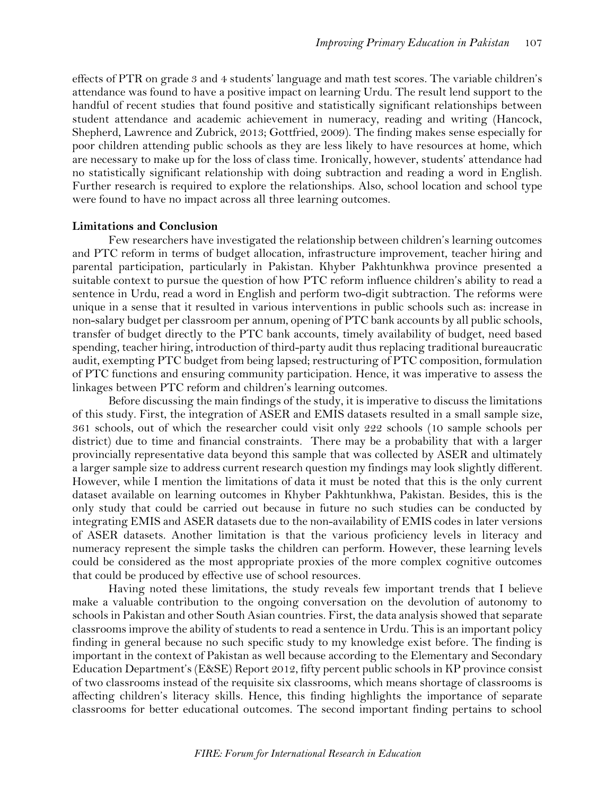effects of PTR on grade 3 and 4 students' language and math test scores. The variable children's attendance was found to have a positive impact on learning Urdu. The result lend support to the handful of recent studies that found positive and statistically significant relationships between student attendance and academic achievement in numeracy, reading and writing (Hancock, Shepherd, Lawrence and Zubrick, 2013; Gottfried, 2009). The finding makes sense especially for poor children attending public schools as they are less likely to have resources at home, which are necessary to make up for the loss of class time. Ironically, however, students' attendance had no statistically significant relationship with doing subtraction and reading a word in English. Further research is required to explore the relationships. Also, school location and school type were found to have no impact across all three learning outcomes.

#### **Limitations and Conclusion**

Few researchers have investigated the relationship between children's learning outcomes and PTC reform in terms of budget allocation, infrastructure improvement, teacher hiring and parental participation, particularly in Pakistan. Khyber Pakhtunkhwa province presented a suitable context to pursue the question of how PTC reform influence children's ability to read a sentence in Urdu, read a word in English and perform two-digit subtraction. The reforms were unique in a sense that it resulted in various interventions in public schools such as: increase in non-salary budget per classroom per annum, opening of PTC bank accounts by all public schools, transfer of budget directly to the PTC bank accounts, timely availability of budget, need based spending, teacher hiring, introduction of third-party audit thus replacing traditional bureaucratic audit, exempting PTC budget from being lapsed; restructuring of PTC composition, formulation of PTC functions and ensuring community participation. Hence, it was imperative to assess the linkages between PTC reform and children's learning outcomes.

Before discussing the main findings of the study, it is imperative to discuss the limitations of this study. First, the integration of ASER and EMIS datasets resulted in a small sample size, 361 schools, out of which the researcher could visit only 222 schools (10 sample schools per district) due to time and financial constraints. There may be a probability that with a larger provincially representative data beyond this sample that was collected by ASER and ultimately a larger sample size to address current research question my findings may look slightly different. However, while I mention the limitations of data it must be noted that this is the only current dataset available on learning outcomes in Khyber Pakhtunkhwa, Pakistan. Besides, this is the only study that could be carried out because in future no such studies can be conducted by integrating EMIS and ASER datasets due to the non-availability of EMIS codes in later versions of ASER datasets. Another limitation is that the various proficiency levels in literacy and numeracy represent the simple tasks the children can perform. However, these learning levels could be considered as the most appropriate proxies of the more complex cognitive outcomes that could be produced by effective use of school resources.

Having noted these limitations, the study reveals few important trends that I believe make a valuable contribution to the ongoing conversation on the devolution of autonomy to schools in Pakistan and other South Asian countries. First, the data analysis showed that separate classrooms improve the ability of students to read a sentence in Urdu. This is an important policy finding in general because no such specific study to my knowledge exist before. The finding is important in the context of Pakistan as well because according to the Elementary and Secondary Education Department's (E&SE) Report 2012, fifty percent public schools in KP province consist of two classrooms instead of the requisite six classrooms, which means shortage of classrooms is affecting children's literacy skills. Hence, this finding highlights the importance of separate classrooms for better educational outcomes. The second important finding pertains to school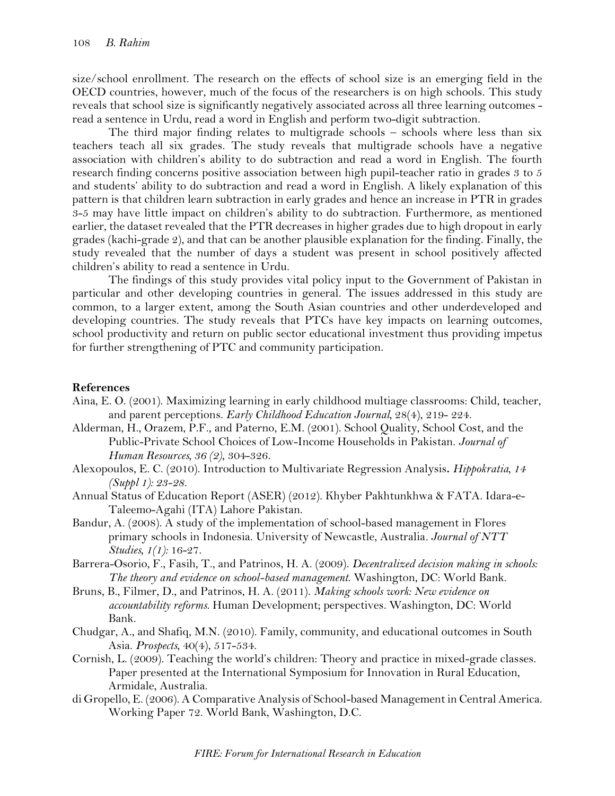size/school enrollment. The research on the effects of school size is an emerging field in the OECD countries, however, much of the focus of the researchers is on high schools. This study reveals that school size is significantly negatively associated across all three learning outcomes read a sentence in Urdu, read a word in English and perform two-digit subtraction.

The third major finding relates to multigrade schools – schools where less than six teachers teach all six grades. The study reveals that multigrade schools have a negative association with children's ability to do subtraction and read a word in English. The fourth research finding concerns positive association between high pupil-teacher ratio in grades 3 to 5 and students' ability to do subtraction and read a word in English. A likely explanation of this pattern is that children learn subtraction in early grades and hence an increase in PTR in grades 3-5 may have little impact on children's ability to do subtraction. Furthermore, as mentioned earlier, the dataset revealed that the PTR decreases in higher grades due to high dropout in early grades (kachi-grade 2), and that can be another plausible explanation for the finding. Finally, the study revealed that the number of days a student was present in school positively affected children's ability to read a sentence in Urdu.

The findings of this study provides vital policy input to the Government of Pakistan in particular and other developing countries in general. The issues addressed in this study are common, to a larger extent, among the South Asian countries and other underdeveloped and developing countries. The study reveals that PTCs have key impacts on learning outcomes, school productivity and return on public sector educational investment thus providing impetus for further strengthening of PTC and community participation.

# **References**

- Aina, E. O. (2001). Maximizing learning in early childhood multiage classrooms: Child, teacher, and parent perceptions. *Early Childhood Education Journal,* 28(4), 219- 224.
- Alderman, H., Orazem, P.F., and Paterno, E.M. (2001). School Quality, School Cost, and the Public-Private School Choices of Low-Income Households in Pakistan. *Journal of Human Resources, 36 (2),* 304-326.
- Alexopoulos, E. C. (2010). Introduction to Multivariate Regression Analysis**.** *Hippokratia, 14 (Suppl 1): 23-28.*
- Annual Status of Education Report (ASER) (2012). Khyber Pakhtunkhwa & FATA. Idara-e-Taleemo-Agahi (ITA) Lahore Pakistan.
- Bandur, A. (2008). A study of the implementation of school-based management in Flores primary schools in Indonesia. University of Newcastle, Australia*. Journal of NTT Studies, 1(1):* 16-27.
- Barrera-Osorio, F., Fasih, T., and Patrinos, H. A. (2009). *Decentralized decision making in schools: The theory and evidence on school-based management*. Washington, DC: World Bank.
- Bruns, B., Filmer, D., and Patrinos, H. A. (2011). *Making schools work: New evidence on accountability reforms*. Human Development; perspectives. Washington, DC: World Bank.
- Chudgar, A., and Shafiq, M.N. (2010). Family, community, and educational outcomes in South Asia. *Prospects*, 40(4), 517-534.
- Cornish, L. (2009). Teaching the world's children: Theory and practice in mixed-grade classes. Paper presented at the International Symposium for Innovation in Rural Education, Armidale, Australia.
- di Gropello, E. (2006). A Comparative Analysis of School-based Management in Central America. Working Paper 72. World Bank, Washington, D.C.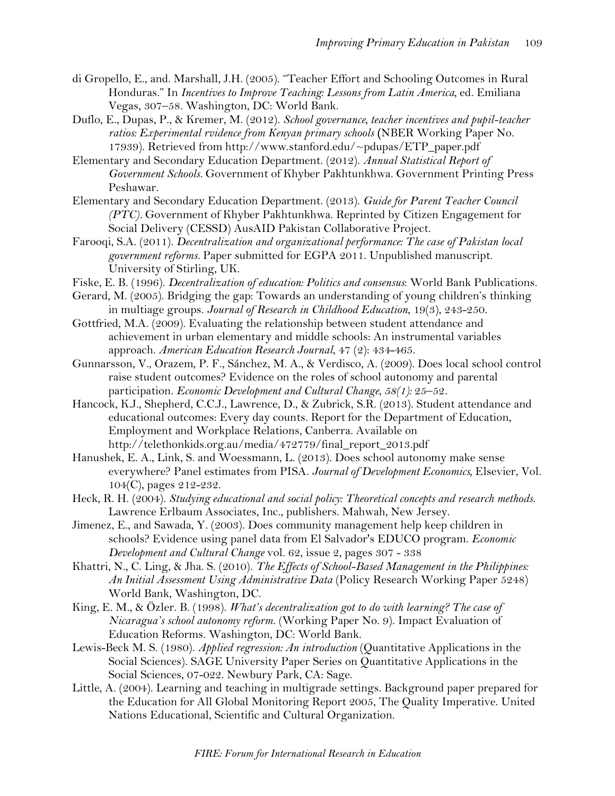- di Gropello, E., and. Marshall, J.H. (2005). "Teacher Effort and Schooling Outcomes in Rural Honduras." In *Incentives to Improve Teaching: Lessons from Latin America,* ed. Emiliana Vegas, 307–58. Washington, DC: World Bank.
- Duflo, E., Dupas, P., & Kremer, M. (2012). *School governance, teacher incentives and pupil-teacher ratios: Experimental rvidence from Kenyan primary schools* **(**NBER Working Paper No. 17939). Retrieved from http://www.stanford.edu/~pdupas/ETP\_paper.pdf
- Elementary and Secondary Education Department. (2012). *Annual Statistical Report of Government Schools.* Government of Khyber Pakhtunkhwa. Government Printing Press Peshawar.
- Elementary and Secondary Education Department. (2013). *Guide for Parent Teacher Council (PTC).* Government of Khyber Pakhtunkhwa. Reprinted by Citizen Engagement for Social Delivery (CESSD) AusAID Pakistan Collaborative Project.
- Farooqi, S.A. (2011). *Decentralization and organizational performance: The case of Pakistan local government reforms.* Paper submitted for EGPA 2011. Unpublished manuscript. University of Stirling, UK.
- Fiske, E. B. (1996). *Decentralization of education: Politics and consensus*: World Bank Publications.
- Gerard, M. (2005). Bridging the gap: Towards an understanding of young children's thinking in multiage groups. *Journal of Research in Childhood Education*, 19(3), 243-250.
- Gottfried, M.A. (2009). Evaluating the relationship between student attendance and achievement in urban elementary and middle schools: An instrumental variables approach. *American Education Research Journal*, 47 (2): 434-465.
- Gunnarsson, V., Orazem, P. F., Sánchez, M. A., & Verdisco, A. (2009). Does local school control raise student outcomes? Evidence on the roles of school autonomy and parental participation. *Economic Development and Cultural Change, 58(1):* 25–52*.*
- Hancock, K.J., Shepherd, C.C.J., Lawrence, D., & Zubrick, S.R. (2013). Student attendance and educational outcomes: Every day counts. Report for the Department of Education, Employment and Workplace Relations, Canberra. Available on http://telethonkids.org.au/media/472779/final\_report\_2013.pdf
- Hanushek, E. A., Link, S. and Woessmann, L. (2013). [Does school autonomy make sense](http://ideas.repec.org/a/eee/deveco/v104y2013icp212-232.html)  [everywhere? Panel estimates from PISA.](http://ideas.repec.org/a/eee/deveco/v104y2013icp212-232.html) *Journal of Development Economics,* Elsevier, Vol. 104(C), pages 212-232.
- Heck, R. H. (2004). *Studying educational and social policy: Theoretical concepts and research methods*. Lawrence Erlbaum Associates, Inc., publishers. Mahwah, New Jersey.
- Jimenez, E., and [Sawada,](http://econpapers.repec.org/RAS/psa494.htm) Y. (2003). Does community management help keep children in schools? Evidence using panel data from El Salvador's EDUCO program. *[Economic](http://econpapers.repec.org/article/ucpecdecc/)  [Development and Cultural Change](http://econpapers.repec.org/article/ucpecdecc/)* vol. 62, issue 2, pages 307 - 338
- Khattri, N., C. Ling, & Jha. S. (2010). *The Effects of School-Based Management in the Philippines: An Initial Assessment Using Administrative Data* (Policy Research Working Paper 5248) World Bank, Washington, DC.
- King, E. M., & Özler. B. (1998). *What's decentralization got to do with learning? The case of Nicaragua's school autonomy reform*. (Working Paper No. 9). Impact Evaluation of Education Reforms. Washington, DC: World Bank.
- Lewis-Beck M. S. (1980). *Applied regression: An introduction* (Quantitative Applications in the Social Sciences). SAGE University Paper Series on Quantitative Applications in the Social Sciences, 07-022. Newbury Park, CA: Sage.
- Little, A. (2004). Learning and teaching in multigrade settings. Background paper prepared for the Education for All Global Monitoring Report 2005, The Quality Imperative. United Nations Educational, Scientific and Cultural Organization.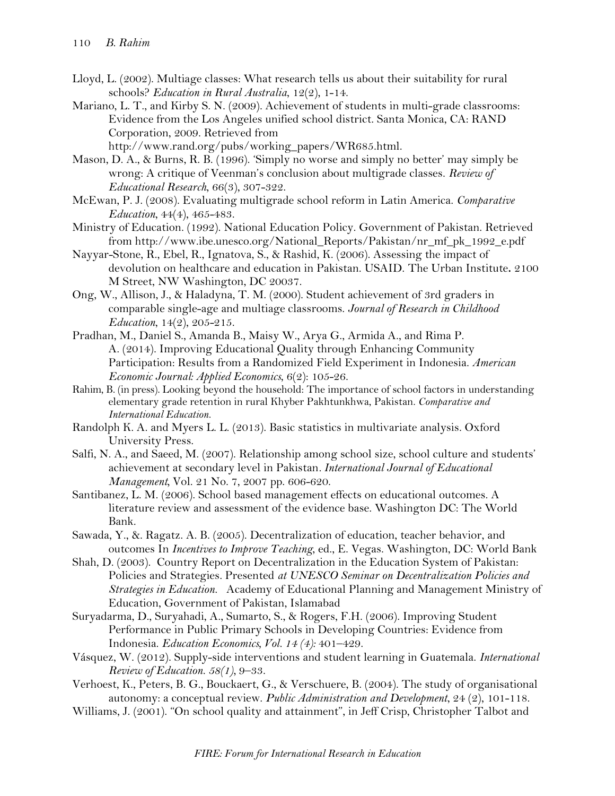Lloyd, L. (2002). Multiage classes: What research tells us about their suitability for rural schools? *Education in Rural Australia*, 12(2), 1-14.

Mariano, L. T., and Kirby S. N. (2009). Achievement of students in multi-grade classrooms: Evidence from the Los Angeles unified school district. Santa Monica, CA: RAND Corporation, 2009. Retrieved from

http://www.rand.org/pubs/working\_papers/WR685.html.

Mason, D. A., & Burns, R. B. (1996). 'Simply no worse and simply no better' may simply be wrong: A critique of Veenman's conclusion about multigrade classes. *Review of Educational Research*, 66(3), 307-322.

McEwan, P. J. (2008). Evaluating multigrade school reform in Latin America. *Comparative Education*, 44(4), 465-483.

- Ministry of Education. (1992). National Education Policy. Government of Pakistan. Retrieved from http://www.ibe.unesco.org/National\_Reports/Pakistan/nr\_mf\_pk\_1992\_e.pdf
- Nayyar-Stone, R., Ebel, R., Ignatova, S., & Rashid, K. (2006). Assessing the impact of devolution on healthcare and education in Pakistan. USAID. The Urban Institute**.** 2100 M Street, NW Washington, DC 20037.
- Ong, W., Allison, J., & Haladyna, T. M. (2000). Student achievement of 3rd graders in comparable single-age and multiage classrooms. *Journal of Research in Childhood Education*, 14(2), 205-215.
- Pradhan, M., Daniel S., Amanda B., Maisy W., Arya G., Armida A., and Rima P. A. (2014). Improving Educational Quality through Enhancing Community Participation: Results from a Randomized Field Experiment in Indonesia. *American Economic Journal: Applied Economics*, 6(2): 105-26.
- Rahim, B. (in press). Looking beyond the household: The importance of school factors in understanding elementary grade retention in rural Khyber Pakhtunkhwa, Pakistan. *Comparative and International Education.*
- Randolph K. A. and Myers L. L. (2013). Basic statistics in multivariate analysis. Oxford University Press.
- Salfi, N. A., and Saeed, M. (2007). Relationship among school size, school culture and students' achievement at secondary level in Pakistan*. International Journal of Educational Management,* Vol. 21 No. 7, 2007 pp. 606-620.
- Santibanez, L. M. (2006). School based management effects on educational outcomes. A literature review and assessment of the evidence base. Washington DC: The World Bank.

Sawada, Y., &. Ragatz. A. B. (2005). Decentralization of education, teacher behavior, and outcomes In *Incentives to Improve Teaching*, ed., E. Vegas. Washington, DC: World Bank

- Shah, D. (2003). Country Report on Decentralization in the Education System of Pakistan: Policies and Strategies. Presented *at UNESCO Seminar on Decentralization Policies and Strategies in Education.* Academy of Educational Planning and Management Ministry of Education, Government of Pakistan, Islamabad
- Suryadarma, D., Suryahadi, A., Sumarto, S., & Rogers, F.H. (2006). Improving Student Performance in Public Primary Schools in Developing Countries: Evidence from Indonesia. *Education Economics, Vol. 14 (4):* 401–429.
- Vásquez, W. (2012). Supply-side interventions and student learning in Guatemala. *International Review of Education. 58(1),* 9–33.
- Verhoest, K., Peters, B. G., Bouckaert, G., & Verschuere, B. (2004). The study of organisational autonomy: a conceptual review. *Public Administration and Development*, 24 (2), 101-118.

Williams, J. (2001). "On school quality and attainment", in Jeff Crisp, Christopher Talbot and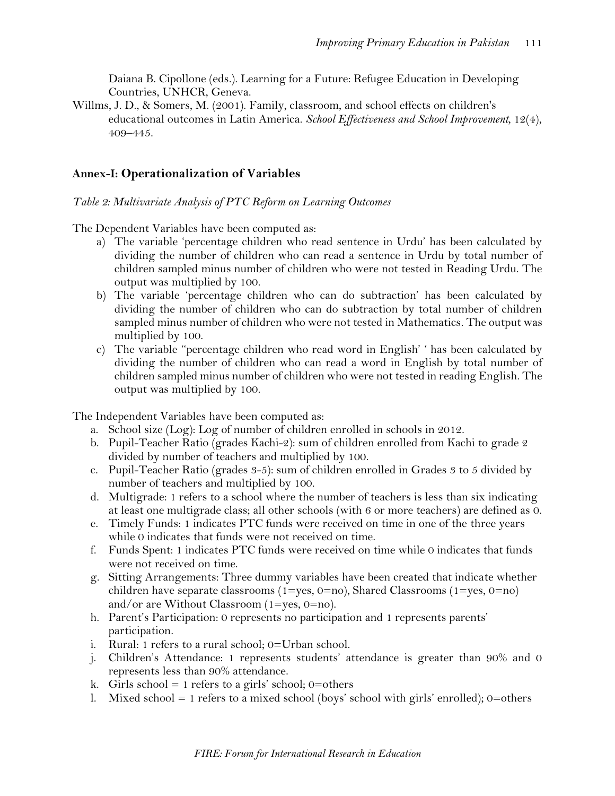Daiana B. Cipollone (eds.). Learning for a Future: Refugee Education in Developing Countries, UNHCR, Geneva.

Willms, J. D., & Somers, M. (2001). Family, classroom, and school effects on children's educational outcomes in Latin America. *School Effectiveness and School Improvement,* 12(4), 409–445.

# **Annex-I: Operationalization of Variables**

#### *Table 2: Multivariate Analysis of PTC Reform on Learning Outcomes*

The Dependent Variables have been computed as:

- a) The variable 'percentage children who read sentence in Urdu' has been calculated by dividing the number of children who can read a sentence in Urdu by total number of children sampled minus number of children who were not tested in Reading Urdu. The output was multiplied by 100.
- b) The variable 'percentage children who can do subtraction' has been calculated by dividing the number of children who can do subtraction by total number of children sampled minus number of children who were not tested in Mathematics. The output was multiplied by 100.
- c) The variable ''percentage children who read word in English' ' has been calculated by dividing the number of children who can read a word in English by total number of children sampled minus number of children who were not tested in reading English. The output was multiplied by 100.

The Independent Variables have been computed as:

- a. School size (Log): Log of number of children enrolled in schools in 2012.
- b. Pupil-Teacher Ratio (grades Kachi-2): sum of children enrolled from Kachi to grade 2 divided by number of teachers and multiplied by 100.
- c. Pupil-Teacher Ratio (grades 3-5): sum of children enrolled in Grades 3 to 5 divided by number of teachers and multiplied by 100.
- d. Multigrade: 1 refers to a school where the number of teachers is less than six indicating at least one multigrade class; all other schools (with 6 or more teachers) are defined as 0.
- e. Timely Funds: 1 indicates PTC funds were received on time in one of the three years while 0 indicates that funds were not received on time.
- f. Funds Spent: 1 indicates PTC funds were received on time while 0 indicates that funds were not received on time.
- g. Sitting Arrangements: Three dummy variables have been created that indicate whether children have separate classrooms (1=yes, 0=no), Shared Classrooms (1=yes, 0=no) and/or are Without Classroom (1=yes, 0=no).
- h. Parent's Participation: 0 represents no participation and 1 represents parents' participation.
- i. Rural: 1 refers to a rural school; 0=Urban school.
- j. Children's Attendance: 1 represents students' attendance is greater than 90% and 0 represents less than 90% attendance.
- k. Girls school = 1 refers to a girls' school;  $0=$ others
- l. Mixed school = 1 refers to a mixed school (boys' school with girls' enrolled); 0=others